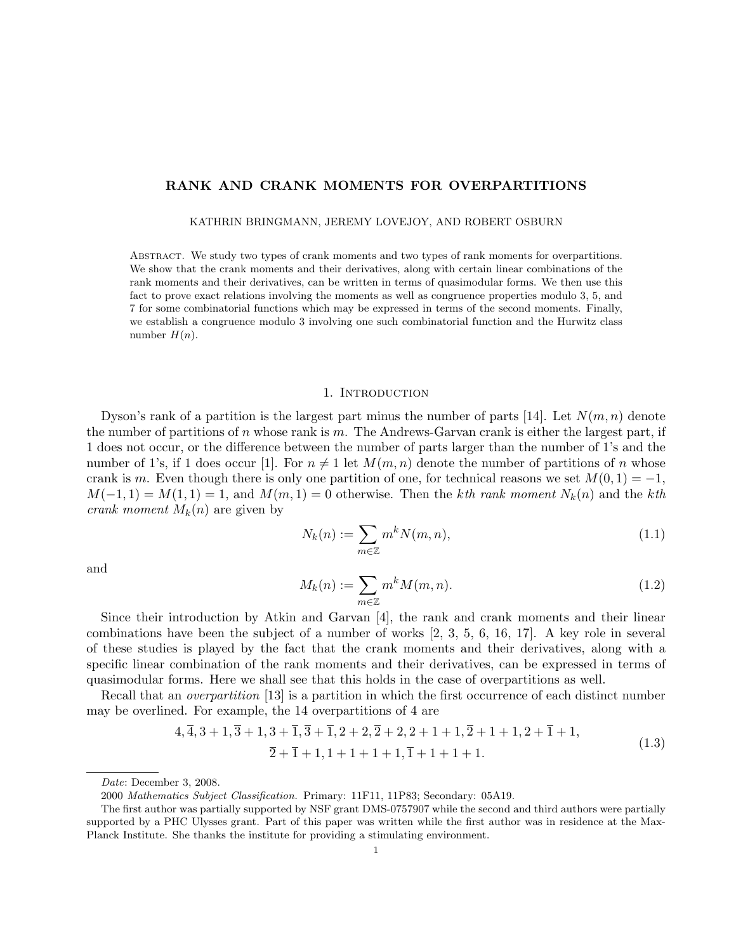# RANK AND CRANK MOMENTS FOR OVERPARTITIONS

KATHRIN BRINGMANN, JEREMY LOVEJOY, AND ROBERT OSBURN

Abstract. We study two types of crank moments and two types of rank moments for overpartitions. We show that the crank moments and their derivatives, along with certain linear combinations of the rank moments and their derivatives, can be written in terms of quasimodular forms. We then use this fact to prove exact relations involving the moments as well as congruence properties modulo 3, 5, and 7 for some combinatorial functions which may be expressed in terms of the second moments. Finally, we establish a congruence modulo 3 involving one such combinatorial function and the Hurwitz class number  $H(n)$ .

### 1. Introduction

Dyson's rank of a partition is the largest part minus the number of parts [14]. Let  $N(m, n)$  denote the number of partitions of n whose rank is m. The Andrews-Garvan crank is either the largest part, if 1 does not occur, or the difference between the number of parts larger than the number of 1's and the number of 1's, if 1 does occur [1]. For  $n \neq 1$  let  $M(m, n)$  denote the number of partitions of n whose crank is m. Even though there is only one partition of one, for technical reasons we set  $M(0, 1) = -1$ ,  $M(-1, 1) = M(1, 1) = 1$ , and  $M(m, 1) = 0$  otherwise. Then the kth rank moment  $N_k(n)$  and the kth crank moment  $M_k(n)$  are given by

$$
N_k(n) := \sum_{m \in \mathbb{Z}} m^k N(m, n),\tag{1.1}
$$

and

$$
M_k(n) := \sum_{m \in \mathbb{Z}} m^k M(m, n). \tag{1.2}
$$

Since their introduction by Atkin and Garvan [4], the rank and crank moments and their linear combinations have been the subject of a number of works [2, 3, 5, 6, 16, 17]. A key role in several of these studies is played by the fact that the crank moments and their derivatives, along with a specific linear combination of the rank moments and their derivatives, can be expressed in terms of quasimodular forms. Here we shall see that this holds in the case of overpartitions as well.

Recall that an *overpartition* [13] is a partition in which the first occurrence of each distinct number may be overlined. For example, the 14 overpartitions of 4 are

$$
4, \overline{4}, 3+1, \overline{3}+1, 3+\overline{1}, \overline{3}+\overline{1}, 2+2, \overline{2}+2, 2+1+1, \overline{2}+1+1, 2+\overline{1}+1,
$$
  

$$
\overline{2}+\overline{1}+1, 1+1+1+1, \overline{1}+1+1+1.
$$
 (1.3)

Date: December 3, 2008.

<sup>2000</sup> Mathematics Subject Classification. Primary: 11F11, 11P83; Secondary: 05A19.

The first author was partially supported by NSF grant DMS-0757907 while the second and third authors were partially supported by a PHC Ulysses grant. Part of this paper was written while the first author was in residence at the Max-Planck Institute. She thanks the institute for providing a stimulating environment.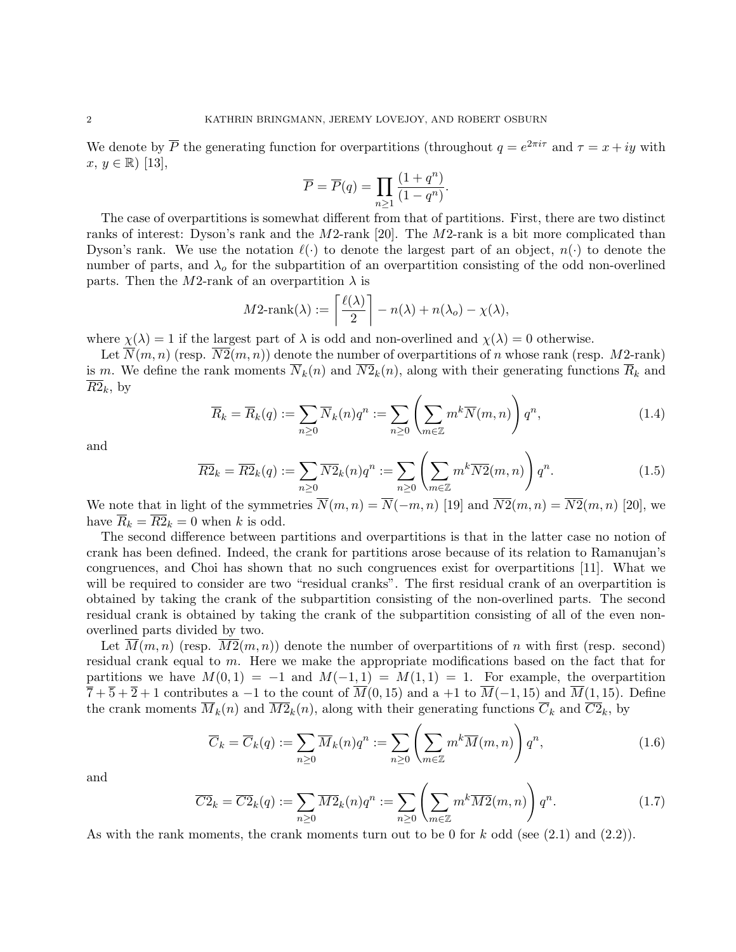We denote by  $\overline{P}$  the generating function for overpartitions (throughout  $q=e^{2\pi i\tau}$  and  $\tau=x+iy$  with  $x, y \in \mathbb{R}$  [13],

$$
\overline{P} = \overline{P}(q) = \prod_{n \geq 1} \frac{(1+q^n)}{(1-q^n)}.
$$

The case of overpartitions is somewhat different from that of partitions. First, there are two distinct ranks of interest: Dyson's rank and the M2-rank [20]. The M2-rank is a bit more complicated than Dyson's rank. We use the notation  $\ell(\cdot)$  to denote the largest part of an object,  $n(\cdot)$  to denote the number of parts, and  $\lambda_0$  for the subpartition of an overpartition consisting of the odd non-overlined parts. Then the M2-rank of an overpartition  $\lambda$  is

$$
M2\text{-rank}(\lambda) := \left\lceil \frac{\ell(\lambda)}{2} \right\rceil - n(\lambda) + n(\lambda_o) - \chi(\lambda),
$$

where  $\chi(\lambda) = 1$  if the largest part of  $\lambda$  is odd and non-overlined and  $\chi(\lambda) = 0$  otherwise.

Let  $\overline{N}(m, n)$  (resp.  $\overline{N2}(m, n)$ ) denote the number of overpartitions of n whose rank (resp. M2-rank) is m. We define the rank moments  $\overline{N}_k(n)$  and  $\overline{N2}_k(n)$ , along with their generating functions  $\overline{R}_k$  and  $\overline{R2}_k$ , by

$$
\overline{R}_k = \overline{R}_k(q) := \sum_{n \ge 0} \overline{N}_k(n) q^n := \sum_{n \ge 0} \left( \sum_{m \in \mathbb{Z}} m^k \overline{N}(m, n) \right) q^n,
$$
\n(1.4)

and

$$
\overline{R2}_k = \overline{R2}_k(q) := \sum_{n \ge 0} \overline{N2}_k(n) q^n := \sum_{n \ge 0} \left( \sum_{m \in \mathbb{Z}} m^k \overline{N2}(m, n) \right) q^n.
$$
 (1.5)

We note that in light of the symmetries  $\overline{N}(m, n) = \overline{N}(-m, n)$  [19] and  $\overline{N2}(m, n) = \overline{N2}(m, n)$  [20], we have  $\overline{R}_k = \overline{R2}_k = 0$  when k is odd.

The second difference between partitions and overpartitions is that in the latter case no notion of crank has been defined. Indeed, the crank for partitions arose because of its relation to Ramanujan's congruences, and Choi has shown that no such congruences exist for overpartitions [11]. What we will be required to consider are two "residual cranks". The first residual crank of an overpartition is obtained by taking the crank of the subpartition consisting of the non-overlined parts. The second residual crank is obtained by taking the crank of the subpartition consisting of all of the even nonoverlined parts divided by two.

Let  $M(m, n)$  (resp.  $M2(m, n)$ ) denote the number of overpartitions of n with first (resp. second) residual crank equal to m. Here we make the appropriate modifications based on the fact that for partitions we have  $M(0, 1) = -1$  and  $M(-1, 1) = M(1, 1) = 1$ . For example, the overpartition  $\overline{7} + \overline{5} + \overline{2} + 1$  contributes a −1 to the count of  $\overline{M}(0, 15)$  and a +1 to  $\overline{M}(-1, 15)$  and  $\overline{M}(1, 15)$ . Define the crank moments  $\overline{M}_k(n)$  and  $\overline{M2}_k(n)$ , along with their generating functions  $\overline{C}_k$  and  $\overline{C2}_k$ , by

$$
\overline{C}_k = \overline{C}_k(q) := \sum_{n \ge 0} \overline{M}_k(n) q^n := \sum_{n \ge 0} \left( \sum_{m \in \mathbb{Z}} m^k \overline{M}(m, n) \right) q^n,
$$
\n(1.6)

and

$$
\overline{C2}_k = \overline{C2}_k(q) := \sum_{n \ge 0} \overline{M2}_k(n) q^n := \sum_{n \ge 0} \left( \sum_{m \in \mathbb{Z}} m^k \overline{M2}(m, n) \right) q^n.
$$
 (1.7)

As with the rank moments, the crank moments turn out to be 0 for k odd (see  $(2.1)$  and  $(2.2)$ ).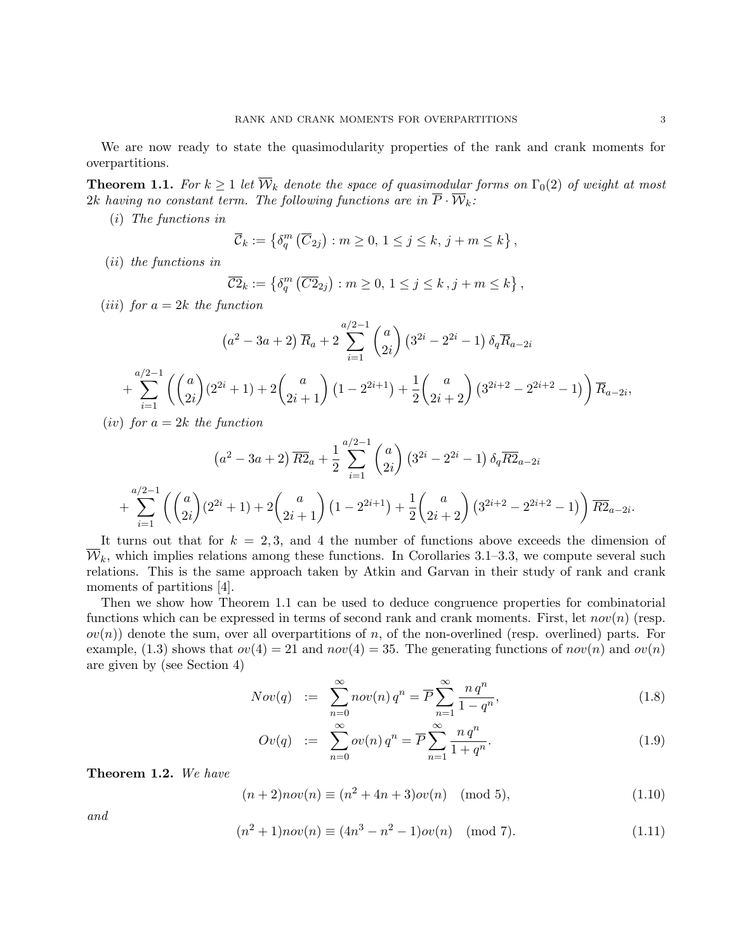We are now ready to state the quasimodularity properties of the rank and crank moments for overpartitions.

**Theorem 1.1.** For  $k \geq 1$  let  $\overline{\mathcal{W}}_k$  denote the space of quasimodular forms on  $\Gamma_0(2)$  of weight at most 2k having no constant term. The following functions are in  $\overline{P} \cdot \overline{W}_k$ .

(i) The functions in

$$
\overline{\mathcal{C}}_k := \left\{ \delta_q^m \left( \overline{C}_{2j} \right) : m \ge 0, \ 1 \le j \le k, \ j+m \le k \right\},\
$$

(ii) the functions in

$$
\overline{\mathcal{C}2}_k := \left\{ \delta_q^m \left( \overline{\mathcal{C}2}_{2j} \right) : m \ge 0, 1 \le j \le k, j+m \le k \right\},\
$$

(*iii*) for  $a = 2k$  the function

$$
(a^{2} - 3a + 2) \overline{R}_{a} + 2 \sum_{i=1}^{a/2-1} {a \choose 2i} (3^{2i} - 2^{2i} - 1) \delta_{q} \overline{R}_{a-2i}
$$
  
+ 
$$
\sum_{i=1}^{a/2-1} \left( {a \choose 2i} (2^{2i} + 1) + 2 {a \choose 2i+1} (1 - 2^{2i+1}) + \frac{1}{2} {a \choose 2i+2} (3^{2i+2} - 2^{2i+2} - 1) \right) \overline{R}_{a-2i},
$$

(*iv*) for  $a = 2k$  the function

$$
(a^{2} - 3a + 2) \overline{R2}_{a} + \frac{1}{2} \sum_{i=1}^{a/2-1} {a \choose 2i} (3^{2i} - 2^{2i} - 1) \delta_{q} \overline{R2}_{a-2i}
$$
  
+ 
$$
\sum_{i=1}^{a/2-1} \left( {a \choose 2i} (2^{2i} + 1) + 2 {a \choose 2i+1} (1 - 2^{2i+1}) + \frac{1}{2} {a \choose 2i+2} (3^{2i+2} - 2^{2i+2} - 1) \right) \overline{R2}_{a-2i}.
$$

It turns out that for  $k = 2, 3$ , and 4 the number of functions above exceeds the dimension of  $\overline{\mathcal{W}}_k$ , which implies relations among these functions. In Corollaries 3.1–3.3, we compute several such relations. This is the same approach taken by Atkin and Garvan in their study of rank and crank moments of partitions [4].

Then we show how Theorem 1.1 can be used to deduce congruence properties for combinatorial functions which can be expressed in terms of second rank and crank moments. First, let  $nov(n)$  (resp.  $ov(n)$  denote the sum, over all overpartitions of n, of the non-overlined (resp. overlined) parts. For example, (1.3) shows that  $ov(4) = 21$  and  $nov(4) = 35$ . The generating functions of  $nov(n)$  and  $ov(n)$ are given by (see Section 4)

$$
Nov(q) := \sum_{n=0}^{\infty} nov(n) q^n = \overline{P} \sum_{n=1}^{\infty} \frac{n q^n}{1 - q^n},
$$
\n(1.8)

$$
Ov(q) := \sum_{n=0}^{\infty} ov(n) q^n = \overline{P} \sum_{n=1}^{\infty} \frac{n \, q^n}{1 + q^n}.
$$
 (1.9)

Theorem 1.2. We have

$$
(n+2)nov(n) \equiv (n^2 + 4n + 3)ov(n) \pmod{5},\tag{1.10}
$$

and

$$
(n2 + 1)nov(n) \equiv (4n3 - n2 - 1)ov(n) \pmod{7}.
$$
 (1.11)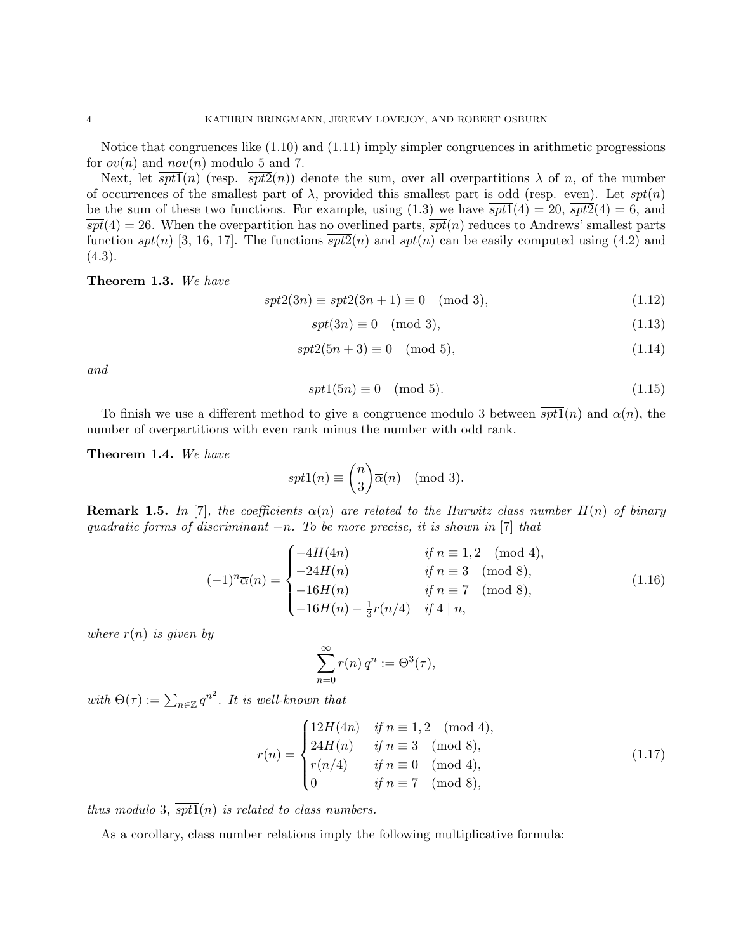Notice that congruences like (1.10) and (1.11) imply simpler congruences in arithmetic progressions for  $ov(n)$  and  $nov(n)$  modulo 5 and 7.

Next, let  $\overline{spt1}(n)$  (resp.  $\overline{spt2}(n)$ ) denote the sum, over all overpartitions  $\lambda$  of n, of the number of occurrences of the smallest part of  $\lambda$ , provided this smallest part is odd (resp. even). Let  $\overline{spt}(n)$ be the sum of these two functions. For example, using  $(1.3)$  we have  $spt1(4) = 20$ ,  $spt2(4) = 6$ , and  $\overline{spt}(4) = 26$ . When the overpartition has no overlined parts,  $\overline{spt}(n)$  reduces to Andrews' smallest parts function spt(n) [3, 16, 17]. The functions  $spt2(n)$  and  $spt(n)$  can be easily computed using (4.2) and  $(4.3).$ 

Theorem 1.3. We have

$$
\overline{spt2}(3n) \equiv \overline{spt2}(3n+1) \equiv 0 \pmod{3},\tag{1.12}
$$

$$
\overline{spt}(3n) \equiv 0 \pmod{3},\tag{1.13}
$$

$$
\overline{spt2}(5n+3) \equiv 0 \pmod{5},\tag{1.14}
$$

and

$$
\overline{spt1}(5n) \equiv 0 \pmod{5}.\tag{1.15}
$$

To finish we use a different method to give a congruence modulo 3 between  $\overline{spt1}(n)$  and  $\overline{\alpha}(n)$ , the number of overpartitions with even rank minus the number with odd rank.

Theorem 1.4. We have

$$
\overline{spt1}(n) \equiv \binom{n}{3} \overline{\alpha}(n) \pmod{3}.
$$

**Remark 1.5.** In [7], the coefficients  $\overline{\alpha}(n)$  are related to the Hurwitz class number  $H(n)$  of binary quadratic forms of discriminant  $-n$ . To be more precise, it is shown in [7] that

$$
(-1)^{n} \overline{\alpha}(n) = \begin{cases} -4H(4n) & \text{if } n \equiv 1, 2 \pmod{4}, \\ -24H(n) & \text{if } n \equiv 3 \pmod{8}, \\ -16H(n) & \text{if } n \equiv 7 \pmod{8}, \\ -16H(n) - \frac{1}{3}r(n/4) & \text{if } 4 \mid n, \end{cases}
$$
(1.16)

where  $r(n)$  is given by

$$
\sum_{n=0}^{\infty} r(n) q^n := \Theta^3(\tau),
$$

with  $\Theta(\tau) := \sum_{n \in \mathbb{Z}} q^{n^2}$ . It is well-known that

$$
r(n) = \begin{cases} 12H(4n) & \text{if } n \equiv 1, 2 \pmod{4}, \\ 24H(n) & \text{if } n \equiv 3 \pmod{8}, \\ r(n/4) & \text{if } n \equiv 0 \pmod{4}, \\ 0 & \text{if } n \equiv 7 \pmod{8}, \end{cases}
$$
(1.17)

thus modulo 3,  $\overline{spt1}(n)$  is related to class numbers.

As a corollary, class number relations imply the following multiplicative formula: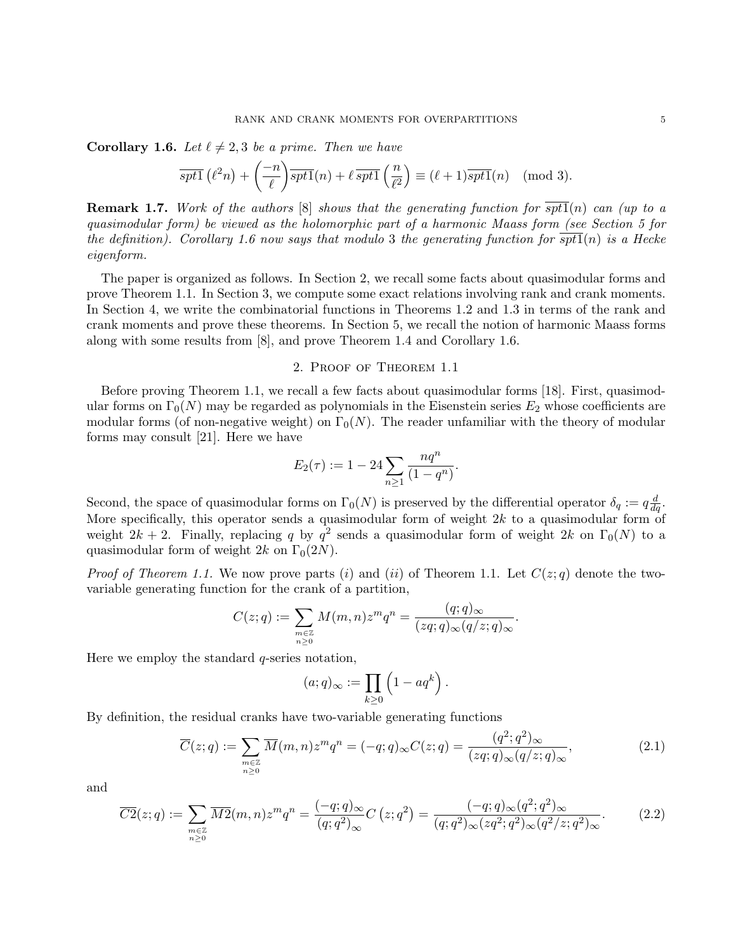**Corollary 1.6.** Let  $\ell \neq 2, 3$  be a prime. Then we have

$$
\overline{spt1}(\ell^2n) + \left(\frac{-n}{\ell}\right) \overline{spt1}(n) + \ell \,\overline{spt1}\left(\frac{n}{\ell^2}\right) \equiv (\ell+1) \overline{spt1}(n) \pmod{3}.
$$

**Remark 1.7.** Work of the authors  $[8]$  shows that the generating function for spt1(n) can (up to a quasimodular form) be viewed as the holomorphic part of a harmonic Maass form (see Section 5 for the definition). Corollary 1.6 now says that modulo 3 the generating function for  $\overline{spt1}(n)$  is a Hecke eigenform.

The paper is organized as follows. In Section 2, we recall some facts about quasimodular forms and prove Theorem 1.1. In Section 3, we compute some exact relations involving rank and crank moments. In Section 4, we write the combinatorial functions in Theorems 1.2 and 1.3 in terms of the rank and crank moments and prove these theorems. In Section 5, we recall the notion of harmonic Maass forms along with some results from [8], and prove Theorem 1.4 and Corollary 1.6.

# 2. Proof of Theorem 1.1

Before proving Theorem 1.1, we recall a few facts about quasimodular forms [18]. First, quasimodular forms on  $\Gamma_0(N)$  may be regarded as polynomials in the Eisenstein series  $E_2$  whose coefficients are modular forms (of non-negative weight) on  $\Gamma_0(N)$ . The reader unfamiliar with the theory of modular forms may consult [21]. Here we have

$$
E_2(\tau) := 1 - 24 \sum_{n \ge 1} \frac{nq^n}{(1 - q^n)}.
$$

Second, the space of quasimodular forms on  $\Gamma_0(N)$  is preserved by the differential operator  $\delta_q := q \frac{d}{dq}$ . More specifically, this operator sends a quasimodular form of weight  $2k$  to a quasimodular form of weight  $2k + 2$ . Finally, replacing q by  $q^2$  sends a quasimodular form of weight  $2k$  on  $\Gamma_0(N)$  to a quasimodular form of weight 2k on  $\Gamma_0(2N)$ .

*Proof of Theorem 1.1.* We now prove parts (i) and (ii) of Theorem 1.1. Let  $C(z; q)$  denote the twovariable generating function for the crank of a partition,

$$
C(z;q) := \sum_{\substack{m \in \mathbb{Z} \\ n \ge 0}} M(m,n) z^m q^n = \frac{(q;q)_{\infty}}{(zq;q)_{\infty}(q/z;q)_{\infty}}.
$$

Here we employ the standard  $q$ -series notation,

$$
(a;q)_{\infty} := \prod_{k \geq 0} \left(1 - aq^k\right).
$$

By definition, the residual cranks have two-variable generating functions

$$
\overline{C}(z;q) := \sum_{\substack{m \in \mathbb{Z} \\ n \ge 0}} \overline{M}(m,n) z^m q^n = (-q;q)_{\infty} C(z;q) = \frac{(q^2;q^2)_{\infty}}{(zq;q)_{\infty}(q/z;q)_{\infty}},
$$
\n(2.1)

and

$$
\overline{C2}(z;q) := \sum_{\substack{m \in \mathbb{Z} \\ n \ge 0}} \overline{M2}(m,n) z^m q^n = \frac{(-q;q)_{\infty}}{(q;q^2)_{\infty}} C(z;q^2) = \frac{(-q;q)_{\infty} (q^2;q^2)_{\infty}}{(q;q^2)_{\infty} (zq^2;q^2)_{\infty} (q^2/z;q^2)_{\infty}}.
$$
(2.2)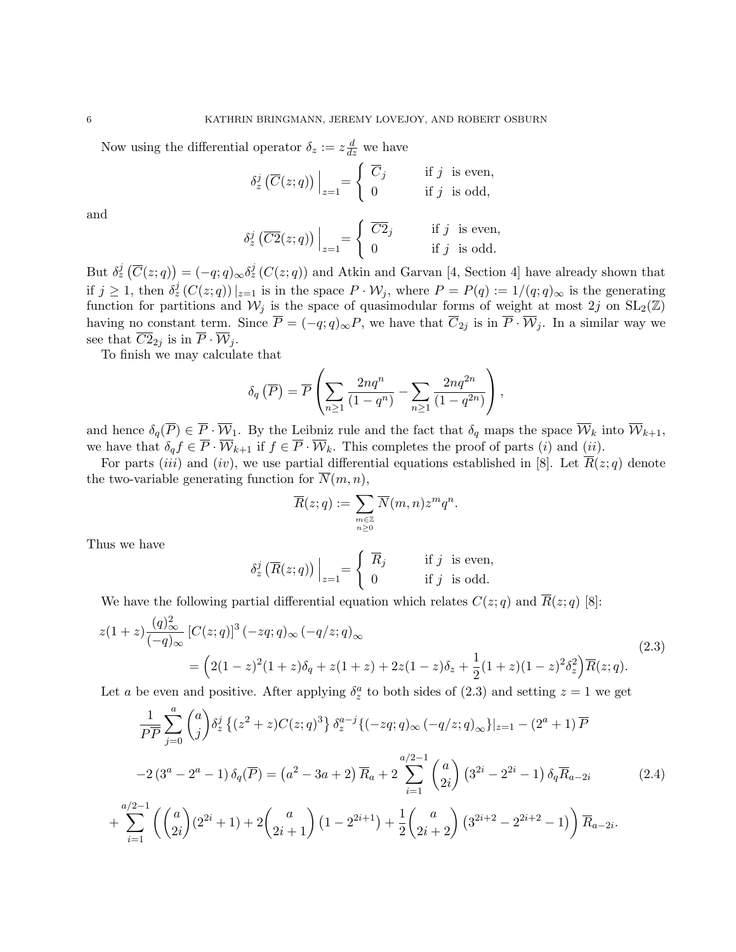Now using the differential operator  $\delta_z := z \frac{d}{dz}$  we have

$$
\delta_z^j\left(\overline{C}(z;q)\right)\Big|_{z=1} = \begin{cases} \overline{C}_j & \text{if } j \text{ is even,} \\ 0 & \text{if } j \text{ is odd,} \end{cases}
$$

and

$$
\delta_z^j\left(\overline{C2}(z;q)\right)\Big|_{z=1} = \begin{cases} \overline{C2}_j & \text{if } j \text{ is even,} \\ 0 & \text{if } j \text{ is odd.} \end{cases}
$$

But  $\delta_z^j(\overline{C}(z;q)) = (-q;q)_{\infty} \delta_z^j(C(z;q))$  and Atkin and Garvan [4, Section 4] have already shown that if  $j \geq 1$ , then  $\delta_z^j(C(z;q))|_{z=1}$  is in the space  $P \cdot \mathcal{W}_j$ , where  $P = P(q) := 1/(q;q)_{\infty}$  is the generating function for partitions and  $W_j$  is the space of quasimodular forms of weight at most 2j on  $SL_2(\mathbb{Z})$ having no constant term. Since  $\overline{P} = (-q; q)_{\infty}P$ , we have that  $\overline{C}_{2j}$  is in  $\overline{P} \cdot \overline{W}_{j}$ . In a similar way we see that  $\overline{C2}_{2j}$  is in  $\overline{P} \cdot \overline{\mathcal{W}}_j$ .

To finish we may calculate that

$$
\delta_q\left(\overline{P}\right) = \overline{P}\left(\sum_{n\geq 1} \frac{2nq^n}{(1-q^n)} - \sum_{n\geq 1} \frac{2nq^{2n}}{(1-q^{2n})}\right),\,
$$

and hence  $\delta_q(\overline{P}) \in \overline{P} \cdot \overline{\mathcal{W}}_1$ . By the Leibniz rule and the fact that  $\delta_q$  maps the space  $\overline{\mathcal{W}}_k$  into  $\overline{\mathcal{W}}_{k+1}$ , we have that  $\delta_q f \in \overline{P} \cdot \overline{\mathcal{W}}_{k+1}$  if  $f \in \overline{P} \cdot \overline{\mathcal{W}}_k$ . This completes the proof of parts  $(i)$  and  $(ii)$ .

For parts (iii) and (iv), we use partial differential equations established in [8]. Let  $\overline{R}(z; q)$  denote the two-variable generating function for  $\overline{N}(m, n)$ ,

$$
\overline{R}(z;q):=\sum_{\substack{m\in\mathbb{Z}\\ n\geq 0}}\overline{N}(m,n)z^mq^n.
$$

Thus we have

$$
\delta_z^j\left(\overline{R}(z;q)\right)\Big|_{z=1} = \begin{cases} \overline{R}_j & \text{if } j \text{ is even,} \\ 0 & \text{if } j \text{ is odd.} \end{cases}
$$

We have the following partial differential equation which relates  $C(z; q)$  and  $\overline{R}(z; q)$  [8]:

$$
z(1+z)\frac{(q)_{\infty}^{2}}{(-q)_{\infty}}\left[C(z;q)\right]^{3}(-zq;q)_{\infty}(-q/z;q)_{\infty}
$$
\n
$$
=\left(2(1-z)^{2}(1+z)\delta_{q}+z(1+z)+2z(1-z)\delta_{z}+\frac{1}{2}(1+z)(1-z)^{2}\delta_{z}^{2}\right)\overline{R}(z;q).
$$
\n(2.3)

Let a be even and positive. After applying  $\delta_z^a$  to both sides of (2.3) and setting  $z = 1$  we get

$$
\frac{1}{P\overline{P}}\sum_{j=0}^{a} \binom{a}{j} \delta_{z}^{j} \left\{ (z^{2}+z)C(z;q)^{3} \right\} \delta_{z}^{a-j} \left\{ (-zq;q)_{\infty} (-q/z;q)_{\infty} \right\} |_{z=1} - (2^{a}+1)\overline{P}
$$
\n
$$
-2\left(3^{a}-2^{a}-1\right)\delta_{q}(\overline{P}) = \left(a^{2}-3a+2\right)\overline{R}_{a} + 2\sum_{i=1}^{a/2-1} \binom{a}{2i} \left(3^{2i}-2^{2i}-1\right)\delta_{q}\overline{R}_{a-2i} \qquad (2.4)
$$
\n
$$
+\sum_{i=1}^{a/2-1} \left( \binom{a}{2i} (2^{2i}+1) + 2\binom{a}{2i+1} \left(1-2^{2i+1}\right) + \frac{1}{2} \binom{a}{2i+2} \left(3^{2i+2}-2^{2i+2}-1\right) \right) \overline{R}_{a-2i}.
$$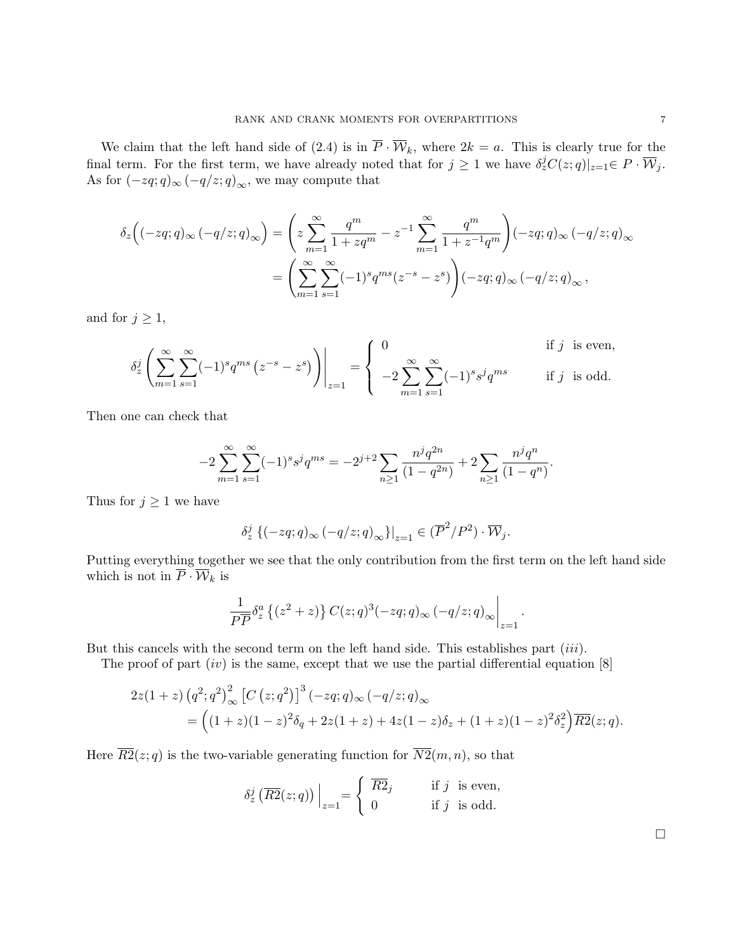We claim that the left hand side of (2.4) is in  $\overline{P} \cdot \overline{W}_k$ , where  $2k = a$ . This is clearly true for the final term. For the first term, we have already noted that for  $j \geq 1$  we have  $\delta_z^j C(z; q)|_{z=1} \in P \cdot \overline{\mathcal{W}}_j$ . As for  $(-zq;q)_{\infty}$   $(-q/z;q)_{\infty}$ , we may compute that

$$
\delta_z\Big((-zq;q)_\infty\,(-q/z;q)_\infty\Big)=\left(z\sum_{m=1}^\infty\frac{q^m}{1+zq^m}-z^{-1}\sum_{m=1}^\infty\frac{q^m}{1+z^{-1}q^m}\right)(-zq;q)_\infty\,(-q/z;q)_\infty
$$

$$
=\left(\sum_{m=1}^\infty\sum_{s=1}^\infty(-1)^sq^{ms}(z^{-s}-z^s)\right)(-zq;q)_\infty\,(-q/z;q)_\infty\,,
$$

and for  $j \geq 1$ ,

$$
\delta_z^j \left( \sum_{m=1}^{\infty} \sum_{s=1}^{\infty} (-1)^s q^{ms} \left( z^{-s} - z^s \right) \right) \Big|_{z=1} = \begin{cases} 0 & \text{if } j \text{ is even,} \\ -2 \sum_{m=1}^{\infty} \sum_{s=1}^{\infty} (-1)^s s^j q^{ms} & \text{if } j \text{ is odd.} \end{cases}
$$

Then one can check that

$$
-2\sum_{m=1}^{\infty}\sum_{s=1}^{\infty}(-1)^{s}s^{j}q^{ms} = -2^{j+2}\sum_{n\geq 1}\frac{n^{j}q^{2n}}{(1-q^{2n})} + 2\sum_{n\geq 1}\frac{n^{j}q^{n}}{(1-q^{n})}.
$$

Thus for  $j \geq 1$  we have

$$
\delta_z^j \left\{ (-zq;q)_{\infty} \left( -q/z;q \right)_{\infty} \right\} \big|_{z=1} \in (\overline{P}^2/P^2) \cdot \overline{\mathcal{W}}_j.
$$

Putting everything together we see that the only contribution from the first term on the left hand side which is not in  $\overline{P} \cdot \overline{\mathcal{W}}_k$  is

$$
\frac{1}{P\overline{P}}\delta_z^a\left\{(z^2+z)\right\}C(z;q)^3(-zq;q)_{\infty}\left(-q/z;q\right)_{\infty}\bigg|_{z=1}.
$$

But this cancels with the second term on the left hand side. This establishes part  $(iii)$ .

The proof of part  $(iv)$  is the same, except that we use the partial differential equation [8]

$$
2z(1+z) (q^2;q^2)_{\infty}^2 [C (z;q^2)]^3 (-zq;q)_{\infty} (-q/z;q)_{\infty}
$$
  
= 
$$
((1+z)(1-z)^2 \delta_q + 2z(1+z) + 4z(1-z)\delta_z + (1+z)(1-z)^2 \delta_z^2) \overline{R2}(z;q).
$$

Here  $\overline{R2}(z; q)$  is the two-variable generating function for  $\overline{N2}(m, n)$ , so that

$$
\delta_z^j\left(\overline{R2}(z;q)\right)\Big|_{z=1} = \begin{cases} \overline{R2}_j & \text{if } j \text{ is even,} \\ 0 & \text{if } j \text{ is odd.} \end{cases}
$$

 $\Box$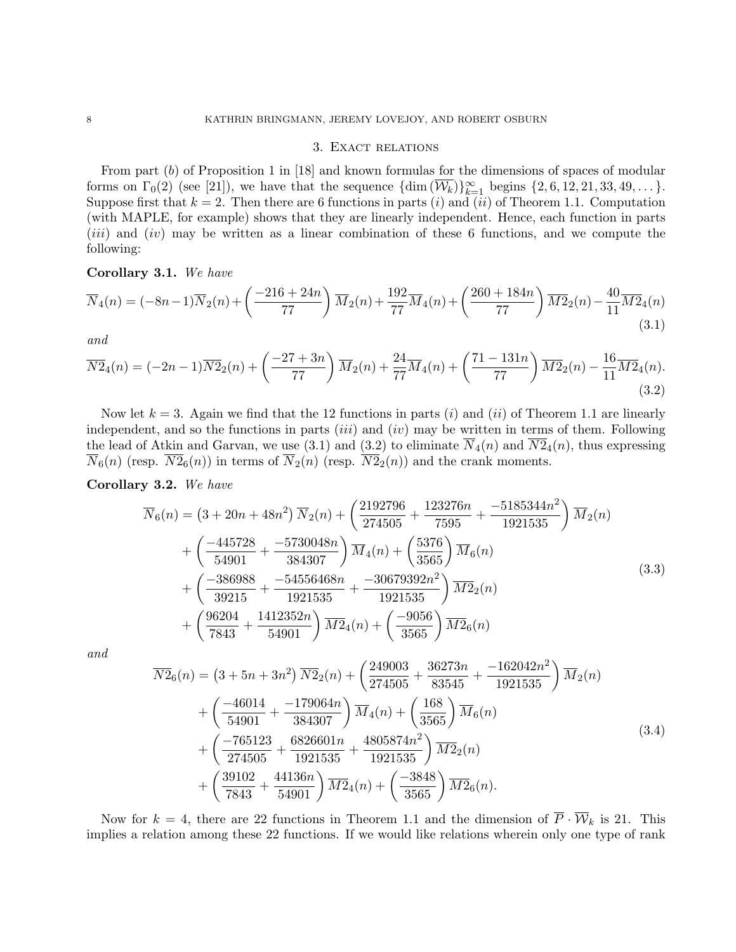# 3. Exact relations

From part (b) of Proposition 1 in [18] and known formulas for the dimensions of spaces of modular forms on  $\Gamma_0(2)$  (see [21]), we have that the sequence  $\{\dim(\overline{\mathcal{W}_k})\}_{k=1}^{\infty}$  begins  $\{2, 6, 12, 21, 33, 49, \ldots\}$ . Suppose first that  $k = 2$ . Then there are 6 functions in parts (i) and (ii) of Theorem 1.1. Computation (with MAPLE, for example) shows that they are linearly independent. Hence, each function in parts (*iii*) and (*iv*) may be written as a linear combination of these 6 functions, and we compute the following:

### Corollary 3.1. We have

$$
\overline{N}_4(n) = (-8n-1)\overline{N}_2(n) + \left(\frac{-216+24n}{77}\right)\overline{M}_2(n) + \frac{192}{77}\overline{M}_4(n) + \left(\frac{260+184n}{77}\right)\overline{M}_2(n) - \frac{40}{11}\overline{M}_4(n) \tag{3.1}
$$

and

$$
\overline{N2}_4(n) = (-2n-1)\overline{N2}_2(n) + \left(\frac{-27+3n}{77}\right)\overline{M}_2(n) + \frac{24}{77}\overline{M}_4(n) + \left(\frac{71-131n}{77}\right)\overline{M2}_2(n) - \frac{16}{11}\overline{M2}_4(n). \tag{3.2}
$$

Now let  $k = 3$ . Again we find that the 12 functions in parts (i) and (ii) of Theorem 1.1 are linearly independent, and so the functions in parts  $(iii)$  and  $(iv)$  may be written in terms of them. Following the lead of Atkin and Garvan, we use (3.1) and (3.2) to eliminate  $\overline{N}_4(n)$  and  $\overline{N2}_4(n)$ , thus expressing  $\overline{N}_6(n)$  (resp.  $\overline{N2}_6(n)$ ) in terms of  $\overline{N}_2(n)$  (resp.  $\overline{N2}_2(n)$ ) and the crank moments.

### Corollary 3.2. We have

$$
\overline{N}_{6}(n) = (3 + 20n + 48n^{2}) \overline{N}_{2}(n) + \left(\frac{2192796}{274505} + \frac{123276n}{7595} + \frac{-5185344n^{2}}{1921535}\right) \overline{M}_{2}(n) \n+ \left(\frac{-445728}{54901} + \frac{-5730048n}{384307}\right) \overline{M}_{4}(n) + \left(\frac{5376}{3565}\right) \overline{M}_{6}(n) \n+ \left(\frac{-386988}{39215} + \frac{-54556468n}{1921535} + \frac{-30679392n^{2}}{1921535}\right) \overline{M}_{22}(n) \n+ \left(\frac{96204}{7843} + \frac{1412352n}{54901}\right) \overline{M}_{24}(n) + \left(\frac{-9056}{3565}\right) \overline{M}_{26}(n)
$$
\n(3.3)

and

$$
\overline{N2}_6(n) = (3 + 5n + 3n^2) \overline{N2}_2(n) + \left(\frac{249003}{274505} + \frac{36273n}{83545} + \frac{-162042n^2}{1921535}\right) \overline{M}_2(n) \n+ \left(\frac{-46014}{54901} + \frac{-179064n}{384307}\right) \overline{M}_4(n) + \left(\frac{168}{3565}\right) \overline{M}_6(n) \n+ \left(\frac{-765123}{274505} + \frac{6826601n}{1921535} + \frac{4805874n^2}{1921535}\right) \overline{M2}_2(n) \n+ \left(\frac{39102}{7843} + \frac{44136n}{54901}\right) \overline{M2}_4(n) + \left(\frac{-3848}{3565}\right) \overline{M2}_6(n).
$$
\n(3.4)

Now for  $k = 4$ , there are 22 functions in Theorem 1.1 and the dimension of  $\overline{P} \cdot \overline{\mathcal{W}}_k$  is 21. This implies a relation among these 22 functions. If we would like relations wherein only one type of rank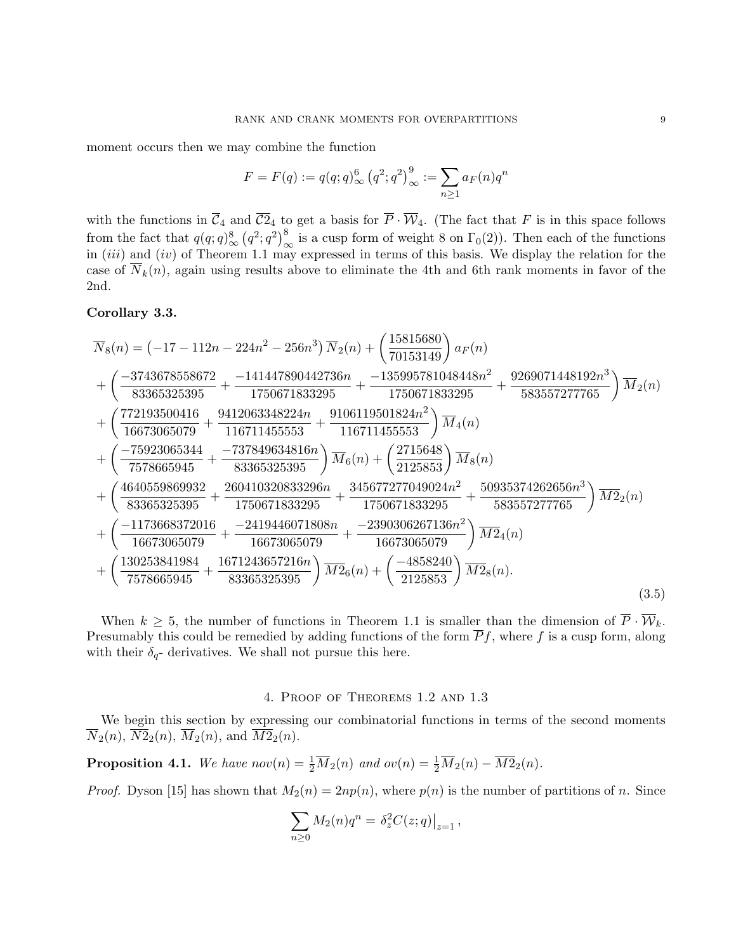moment occurs then we may combine the function

$$
F = F(q) := q(q; q)_{\infty}^{6} (q^2; q^2)_{\infty}^{9} := \sum_{n \ge 1} a_F(n) q^n
$$

with the functions in  $\overline{C}_4$  and  $\overline{C}_4$  to get a basis for  $\overline{P} \cdot \overline{W}_4$ . (The fact that F is in this space follows from the fact that  $q(q;q)_{\infty}^{8}(q^2;q^2)_{\infty}^{8}$  is a cusp form of weight 8 on  $\Gamma_0(2)$ ). Then each of the functions in  $(iii)$  and  $(iv)$  of Theorem 1.1 may expressed in terms of this basis. We display the relation for the case of  $N_k(n)$ , again using results above to eliminate the 4th and 6th rank moments in favor of the 2nd.

# Corollary 3.3.

$$
\overline{N}_{8}(n) = (-17 - 112n - 224n^{2} - 256n^{3}) \overline{N}_{2}(n) + \left(\frac{15815680}{70153149}\right) a_{F}(n) \n+ \left(\frac{-3743678558672}{83365325395} + \frac{-141447890442736n}{1750671833295} + \frac{-135995781048448n^{2}}{1750671833295} + \frac{9269071448192n^{3}}{583557277765}\right) \overline{M}_{2}(n) \n+ \left(\frac{772193500416}{16673065079} + \frac{9412063348224n}{116711455553} + \frac{9106119501824n^{2}}{116711455553}\right) \overline{M}_{4}(n) \n+ \left(\frac{-75923065344}{7578665945} + \frac{-737849634816n}{83365325395}\right) \overline{M}_{6}(n) + \left(\frac{2715648}{2125853}\right) \overline{M}_{8}(n) \n+ \left(\frac{4640559869932}{83365325395} + \frac{260410320833296n}{1750671833295} + \frac{345677277049024n^{2}}{1750671833295} + \frac{50935374262656n^{3}}{583557277765}\right) \overline{M}_{2}(n) \n+ \left(\frac{-1173668372016}{16673065079} + \frac{-2419446071808n}{16673065079} + \frac{-2390306267136n^{2}}{16673065079}\right) \overline{M}_{2}(n) \n+ \left(\frac{130253841984}{75786659
$$

When  $k \geq 5$ , the number of functions in Theorem 1.1 is smaller than the dimension of  $\overline{P} \cdot \overline{\mathcal{W}}_k$ . Presumably this could be remedied by adding functions of the form  $\overline{P}f$ , where f is a cusp form, along with their  $\delta_{q}$ - derivatives. We shall not pursue this here.

# 4. Proof of Theorems 1.2 and 1.3

We begin this section by expressing our combinatorial functions in terms of the second moments  $\overline{N}_2(n), \overline{N2}_2(n), \overline{M}_2(n), \text{ and } \overline{M2}_2(n).$ 

**Proposition 4.1.** We have  $nov(n) = \frac{1}{2}\overline{M}_2(n)$  and  $ov(n) = \frac{1}{2}\overline{M}_2(n) - \overline{M2}_2(n)$ .

*Proof.* Dyson [15] has shown that  $M_2(n) = 2np(n)$ , where  $p(n)$  is the number of partitions of n. Since

$$
\sum_{n\geq 0} M_2(n)q^n = \left. \delta_z^2 C(z;q) \right|_{z=1},
$$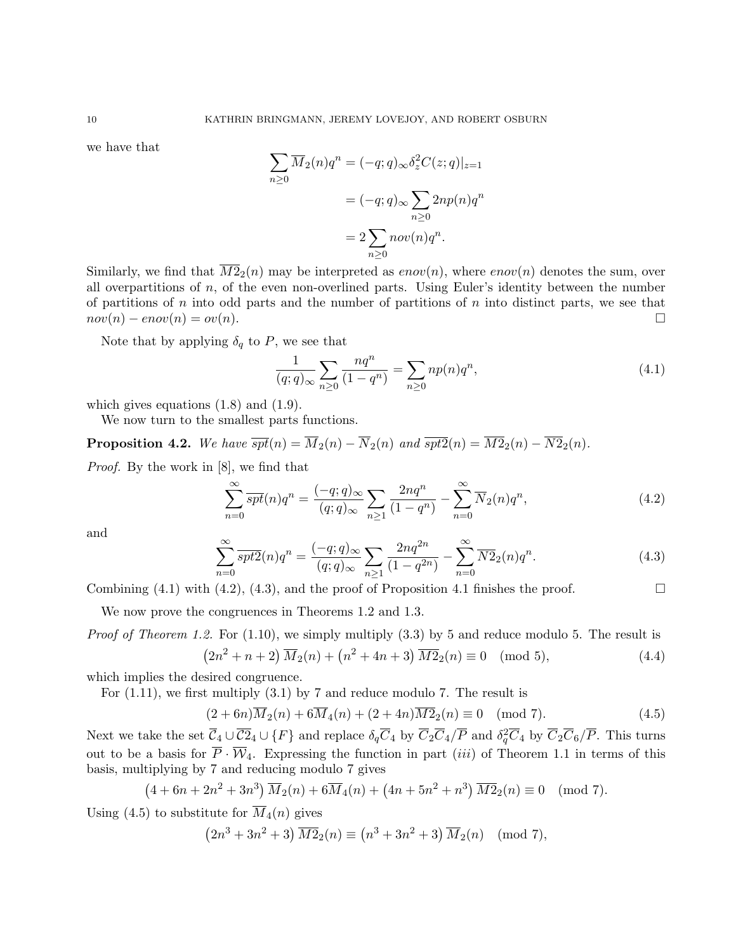we have that

$$
\sum_{n\geq 0} \overline{M}_2(n)q^n = (-q;q)_{\infty} \delta_z^2 C(z;q)|_{z=1}
$$

$$
= (-q;q)_{\infty} \sum_{n\geq 0} 2np(n)q^n
$$

$$
= 2 \sum_{n\geq 0} nov(n)q^n.
$$

Similarly, we find that  $\overline{M2}_2(n)$  may be interpreted as  $\mathit{enov}(n)$ , where  $\mathit{enov}(n)$  denotes the sum, over all overpartitions of n, of the even non-overlined parts. Using Euler's identity between the number of partitions of n into odd parts and the number of partitions of  $n$  into distinct parts, we see that  $nov(n) - env(n) = ov(n).$ 

Note that by applying  $\delta_q$  to P, we see that

$$
\frac{1}{(q;q)_{\infty}}\sum_{n\geq 0} \frac{nq^n}{(1-q^n)} = \sum_{n\geq 0} n p(n) q^n,
$$
\n(4.1)

which gives equations  $(1.8)$  and  $(1.9)$ .

We now turn to the smallest parts functions.

**Proposition 4.2.** We have  $\overline{spt}(n) = \overline{M}_2(n) - \overline{N}_2(n)$  and  $\overline{spt2}(n) = \overline{M2}_2(n) - \overline{N2}_2(n)$ .

Proof. By the work in [8], we find that

$$
\sum_{n=0}^{\infty} \overline{spt}(n)q^n = \frac{(-q;q)_{\infty}}{(q;q)_{\infty}} \sum_{n\geq 1} \frac{2nq^n}{(1-q^n)} - \sum_{n=0}^{\infty} \overline{N}_2(n)q^n,
$$
\n(4.2)

and

$$
\sum_{n=0}^{\infty} \overline{spt2}(n)q^n = \frac{(-q;q)_{\infty}}{(q;q)_{\infty}} \sum_{n\geq 1} \frac{2nq^{2n}}{(1-q^{2n})} - \sum_{n=0}^{\infty} \overline{N2}_2(n)q^n.
$$
 (4.3)

Combining  $(4.1)$  with  $(4.2)$ ,  $(4.3)$ , and the proof of Proposition 4.1 finishes the proof.

We now prove the congruences in Theorems 1.2 and 1.3.

*Proof of Theorem 1.2.* For  $(1.10)$ , we simply multiply  $(3.3)$  by 5 and reduce modulo 5. The result is  $\left(2n^2 + n + 2\right)\overline{M}_2(n) + \left(n^2 + 4n + 3\right)\overline{M}_2(n) \equiv 0 \pmod{5},$  (4.4)

which implies the desired congruence.

For (1.11), we first multiply (3.1) by 7 and reduce modulo 7. The result is

$$
(2+6n)\overline{M}_2(n) + 6\overline{M}_4(n) + (2+4n)\overline{M2}_2(n) \equiv 0 \pmod{7}.
$$
 (4.5)

Next we take the set  $\overline{C}_4\cup\overline{C2}_4\cup\{F\}$  and replace  $\delta_q\overline{C}_4$  by  $\overline{C}_2\overline{C}_4/\overline{P}$  and  $\delta_q^2\overline{C}_4$  by  $\overline{C}_2\overline{C}_6/\overline{P}$ . This turns out to be a basis for  $\overline{P} \cdot \overline{W}_4$ . Expressing the function in part *(iii)* of Theorem 1.1 in terms of this basis, multiplying by 7 and reducing modulo 7 gives

$$
(4+6n+2n^2+3n^3)\overline{M}_2(n)+6\overline{M}_4(n)+\left(4n+5n^2+n^3\right)\overline{M}_2(n)\equiv 0\pmod{7}.
$$

Using  $(4.5)$  to substitute for  $M_4(n)$  gives

$$
(2n3 + 3n2 + 3)\overline{M2}_{2}(n) \equiv (n3 + 3n2 + 3)\overline{M}_{2}(n) \pmod{7},
$$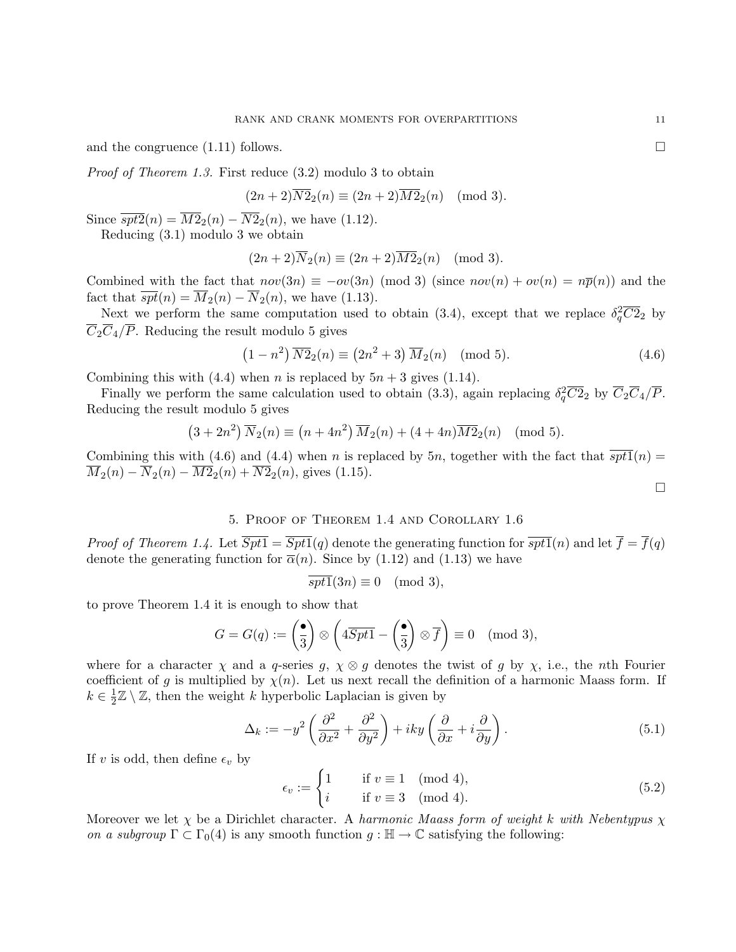and the congruence  $(1.11)$  follows.

Proof of Theorem 1.3. First reduce (3.2) modulo 3 to obtain

$$
(2n+2)\overline{N2}_2(n) \equiv (2n+2)\overline{M2}_2(n) \pmod{3}.
$$

Since  $\overline{spt2}(n) = \overline{M2}_2(n) - \overline{N2}_2(n)$ , we have (1.12).

Reducing (3.1) modulo 3 we obtain

$$
(2n+2)\overline{N}_2(n) \equiv (2n+2)\overline{M2}_2(n) \pmod{3}.
$$

Combined with the fact that  $nov(3n) \equiv -ov(3n) \pmod{3}$  (since  $nov(n) + ov(n) = n\bar{p}(n)$ ) and the fact that  $\overline{spt}(n) = \overline{M}_2(n) - \overline{N}_2(n)$ , we have (1.13).

Next we perform the same computation used to obtain (3.4), except that we replace  $\delta_q^2 \overline{C2}_2$  by  $\overline{C}_2\overline{C}_4/\overline{P}$ . Reducing the result modulo 5 gives

$$
(1 - n2) \overline{N2}_{2}(n) \equiv (2n2 + 3) \overline{M}_{2}(n) \pmod{5}.
$$
 (4.6)

Combining this with (4.4) when *n* is replaced by  $5n + 3$  gives (1.14).

Finally we perform the same calculation used to obtain (3.3), again replacing  $\delta_q^2 \overline{C2}_2$  by  $\overline{C}_2 \overline{C}_4/\overline{P}$ . Reducing the result modulo 5 gives

$$
(3+2n^2)\overline{N}_2(n) \equiv (n+4n^2)\overline{M}_2(n) + (4+4n)\overline{M}_2(n) \pmod{5}.
$$

Combining this with (4.6) and (4.4) when n is replaced by 5n, together with the fact that  $\overline{spt1}(n)$  =  $\overline{M}_2(n) - \overline{N}_2(n) - \overline{M2}_2(n) + \overline{N2}_2(n)$ , gives (1.15).

$$
\Box
$$

## 5. Proof of Theorem 1.4 and Corollary 1.6

*Proof of Theorem 1.4.* Let  $\overline{Spt1} = \overline{Spt1}(q)$  denote the generating function for  $\overline{spt1}(n)$  and let  $\overline{f} = \overline{f}(q)$ denote the generating function for  $\bar{\alpha}(n)$ . Since by (1.12) and (1.13) we have

$$
\overline{spt1}(3n) \equiv 0 \pmod{3},
$$

to prove Theorem 1.4 it is enough to show that

$$
G = G(q) := \left(\frac{\bullet}{3}\right) \otimes \left(4\overline{Spt1} - \left(\frac{\bullet}{3}\right) \otimes \overline{f}\right) \equiv 0 \pmod{3},
$$

where for a character  $\chi$  and a q-series g,  $\chi \otimes g$  denotes the twist of g by  $\chi$ , i.e., the nth Fourier coefficient of g is multiplied by  $\chi(n)$ . Let us next recall the definition of a harmonic Maass form. If  $k \in \frac{1}{2}$  $\frac{1}{2}\mathbb{Z}\setminus\mathbb{Z}$ , then the weight k hyperbolic Laplacian is given by

$$
\Delta_k := -y^2 \left( \frac{\partial^2}{\partial x^2} + \frac{\partial^2}{\partial y^2} \right) + iky \left( \frac{\partial}{\partial x} + i \frac{\partial}{\partial y} \right). \tag{5.1}
$$

If v is odd, then define  $\epsilon_v$  by

$$
\epsilon_v := \begin{cases} 1 & \text{if } v \equiv 1 \pmod{4}, \\ i & \text{if } v \equiv 3 \pmod{4}. \end{cases}
$$
(5.2)

Moreover we let  $\chi$  be a Dirichlet character. A harmonic Maass form of weight k with Nebentypus  $\chi$ on a subgroup  $\Gamma \subset \Gamma_0(4)$  is any smooth function  $g : \mathbb{H} \to \mathbb{C}$  satisfying the following: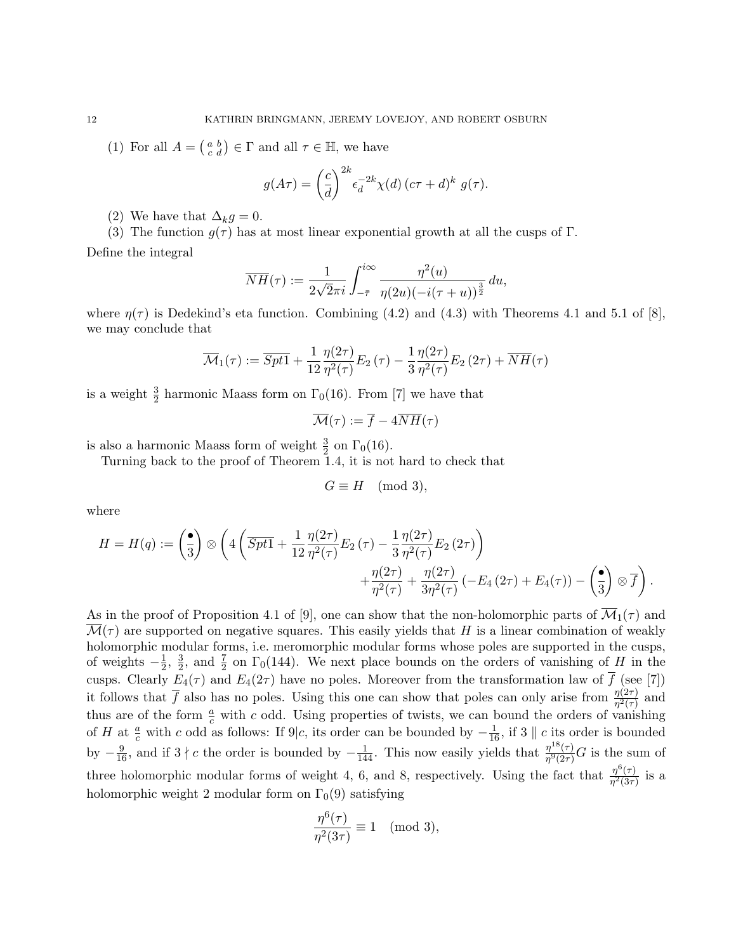(1) For all  $A = \begin{pmatrix} a & b \\ c & d \end{pmatrix} \in \Gamma$  and all  $\tau \in \mathbb{H}$ , we have

$$
g(A\tau) = \left(\frac{c}{d}\right)^{2k} \epsilon_d^{-2k} \chi(d) \left(c\tau + d\right)^k g(\tau).
$$

(2) We have that  $\Delta_k g = 0$ .

(3) The function  $q(\tau)$  has at most linear exponential growth at all the cusps of Γ.

Define the integral

$$
\overline{NH}(\tau) := \frac{1}{2\sqrt{2}\pi i} \int_{-\bar{\tau}}^{i\infty} \frac{\eta^2(u)}{\eta(2u)(-i(\tau+u))^{\frac{3}{2}}} du,
$$

where  $\eta(\tau)$  is Dedekind's eta function. Combining (4.2) and (4.3) with Theorems 4.1 and 5.1 of [8], we may conclude that

$$
\overline{\mathcal{M}}_1(\tau) := \overline{Spt1} + \frac{1}{12} \frac{\eta(2\tau)}{\eta^2(\tau)} E_2(\tau) - \frac{1}{3} \frac{\eta(2\tau)}{\eta^2(\tau)} E_2(2\tau) + \overline{NH}(\tau)
$$

is a weight  $\frac{3}{2}$  harmonic Maass form on  $\Gamma_0(16)$ . From [7] we have that

$$
\overline{\mathcal{M}}(\tau) := \overline{f} - 4\overline{NH}(\tau)
$$

is also a harmonic Maass form of weight  $\frac{3}{2}$  on  $\Gamma_0(16)$ .

Turning back to the proof of Theorem 1.4, it is not hard to check that

$$
G \equiv H \pmod{3},
$$

where

$$
H = H(q) := \left(\frac{\bullet}{3}\right) \otimes \left(4\left(\overline{Spt1} + \frac{1}{12} \frac{\eta(2\tau)}{\eta^2(\tau)} E_2(\tau) - \frac{1}{3} \frac{\eta(2\tau)}{\eta^2(\tau)} E_2(2\tau)\right) + \frac{\eta(2\tau)}{\eta^2(\tau)} + \frac{\eta(2\tau)}{3\eta^2(\tau)} \left(-E_4(2\tau) + E_4(\tau)\right) - \left(\frac{\bullet}{3}\right) \otimes \overline{f}\right).
$$

As in the proof of Proposition 4.1 of [9], one can show that the non-holomorphic parts of  $\overline{\mathcal{M}}_1(\tau)$  and  $\mathcal{M}(\tau)$  are supported on negative squares. This easily yields that H is a linear combination of weakly holomorphic modular forms, i.e. meromorphic modular forms whose poles are supported in the cusps, of weights  $-\frac{1}{2}$  $\frac{1}{2}$ ,  $\frac{3}{2}$  $\frac{3}{2}$ , and  $\frac{7}{2}$  on  $\Gamma_0(144)$ . We next place bounds on the orders of vanishing of H in the cusps. Clearly  $E_4(\tau)$  and  $E_4(2\tau)$  have no poles. Moreover from the transformation law of  $\overline{f}$  (see [7]) it follows that  $\overline{f}$  also has no poles. Using this one can show that poles can only arise from  $\frac{\eta(2\tau)}{\eta^2(\tau)}$  and thus are of the form  $\frac{a}{c}$  with c odd. Using properties of twists, we can bound the orders of vanishing of H at  $\frac{a}{c}$  with c odd as follows: If 9|c, its order can be bounded by  $-\frac{1}{16}$ , if 3 || c its order is bounded by  $-\frac{9}{16}$ , and if  $3 \nmid c$  the order is bounded by  $-\frac{1}{144}$ . This now easily yields that  $\frac{\eta^{18}(\tau)}{\eta^{9}(2\tau)}$  $\frac{\eta^{12}(T)}{\eta^9(2\tau)}G$  is the sum of three holomorphic modular forms of weight 4, 6, and 8, respectively. Using the fact that  $\frac{\eta^6(\tau)}{n^2(3\tau)}$  $\frac{\eta^{\circ}(\tau)}{\eta^2(3\tau)}$  is a holomorphic weight 2 modular form on  $\Gamma_0(9)$  satisfying

$$
\frac{\eta^6(\tau)}{\eta^2(3\tau)}\equiv 1\pmod{3},
$$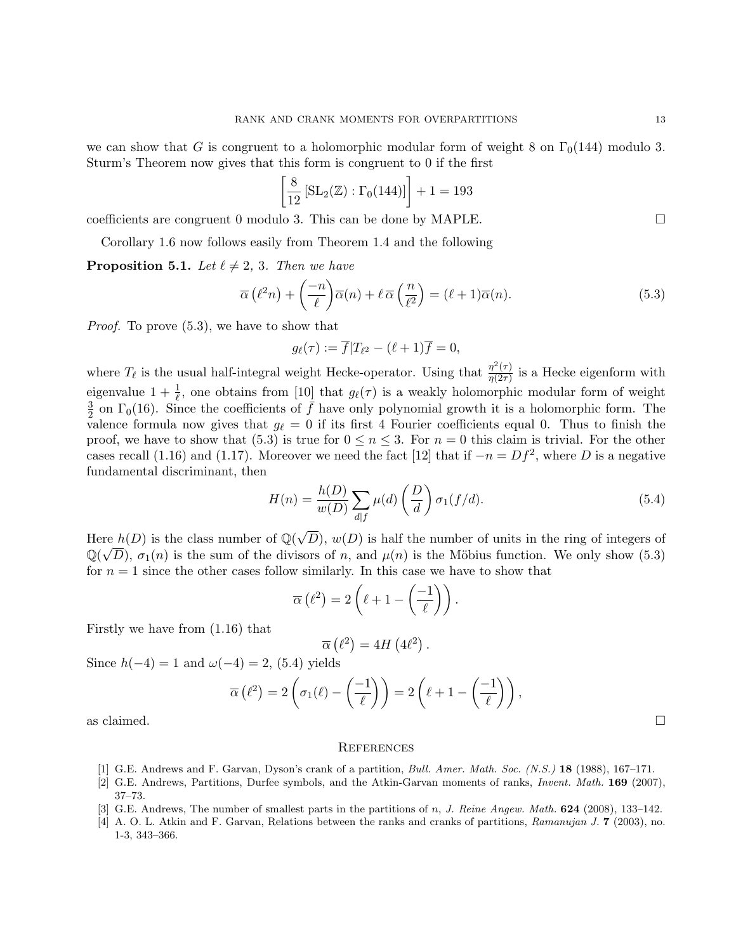we can show that G is congruent to a holomorphic modular form of weight 8 on  $\Gamma_0(144)$  modulo 3. Sturm's Theorem now gives that this form is congruent to 0 if the first

$$
\left[\frac{8}{12}\left[\text{SL}_2(\mathbb{Z}) : \Gamma_0(144)\right]\right] + 1 = 193
$$

coefficients are congruent 0 modulo 3. This can be done by MAPLE.

Corollary 1.6 now follows easily from Theorem 1.4 and the following

**Proposition 5.1.** Let  $\ell \neq 2, 3$ . Then we have

$$
\overline{\alpha}\left(\ell^2 n\right) + \left(\frac{-n}{\ell}\right)\overline{\alpha}(n) + \ell \,\overline{\alpha}\left(\frac{n}{\ell^2}\right) = (\ell+1)\overline{\alpha}(n). \tag{5.3}
$$

Proof. To prove (5.3), we have to show that

$$
g_{\ell}(\tau) := \overline{f}|T_{\ell^2} - (\ell+1)\overline{f} = 0,
$$

where  $T_{\ell}$  is the usual half-integral weight Hecke-operator. Using that  $\frac{\eta^2(\tau)}{\eta(2\tau)}$  $\frac{\eta^{-}(\tau)}{\eta(2\tau)}$  is a Hecke eigenform with eigenvalue  $1 + \frac{1}{\ell}$ , one obtains from [10] that  $g_{\ell}(\tau)$  is a weakly holomorphic modular form of weight 3  $\frac{3}{2}$  on  $\Gamma_0(16)$ . Since the coefficients of  $\bar{f}$  have only polynomial growth it is a holomorphic form. The valence formula now gives that  $g_{\ell} = 0$  if its first 4 Fourier coefficients equal 0. Thus to finish the proof, we have to show that (5.3) is true for  $0 \le n \le 3$ . For  $n = 0$  this claim is trivial. For the other cases recall (1.16) and (1.17). Moreover we need the fact [12] that if  $-n = Df^2$ , where D is a negative fundamental discriminant, then

$$
H(n) = \frac{h(D)}{w(D)} \sum_{d|f} \mu(d) \left(\frac{D}{d}\right) \sigma_1(f/d). \tag{5.4}
$$

Here  $h(D)$  is the class number of  $\mathbb{Q}(\sqrt{D})$ re  $h(D)$  is the class number of  $\mathbb{Q}(\sqrt{D})$ ,  $w(D)$  is half the number of units in the ring of integers of  $\mathbb{Q}(\sqrt{D})$ ,  $\sigma_1(n)$  is the sum of the divisors of n, and  $\mu(n)$  is the Möbius function. We only show (5.3) for  $n = 1$  since the other cases follow similarly. In this case we have to show that

$$
\overline{\alpha}\left(\ell^2\right) = 2\left(\ell + 1 - \left(\frac{-1}{\ell}\right)\right).
$$

Firstly we have from (1.16) that

$$
\overline{\alpha}\left(\ell^2\right) = 4H\left(4\ell^2\right).
$$

Since  $h(-4) = 1$  and  $\omega(-4) = 2$ , (5.4) yields

$$
\overline{\alpha}\left(\ell^2\right) = 2\left(\sigma_1(\ell) - \left(\frac{-1}{\ell}\right)\right) = 2\left(\ell + 1 - \left(\frac{-1}{\ell}\right)\right),
$$
 as claimed.

#### **REFERENCES**

- [1] G.E. Andrews and F. Garvan, Dyson's crank of a partition, *Bull. Amer. Math. Soc.* (N.S.) **18** (1988), 167–171.
- [2] G.E. Andrews, Partitions, Durfee symbols, and the Atkin-Garvan moments of ranks, Invent. Math. 169 (2007), 37–73.
- [3] G.E. Andrews, The number of smallest parts in the partitions of n, J. Reine Angew. Math. **624** (2008), 133-142.
- [4] A. O. L. Atkin and F. Garvan, Relations between the ranks and cranks of partitions, Ramanujan J. 7 (2003), no. 1-3, 343–366.